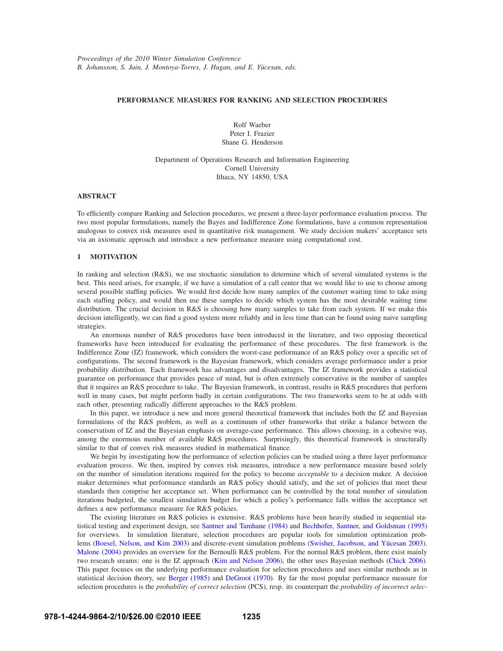# **PERFORMANCE MEASURES FOR RANKING AND SELECTION PROCEDURES**

Rolf Waeber Peter I. Frazier Shane G. Henderson

Department of Operations Research and Information Engineering Cornell University Ithaca, NY 14850, USA

# **ABSTRACT**

To efficiently compare Ranking and Selection procedures, we present a three-layer performance evaluation process. The two most popular formulations, namely the Bayes and Indifference Zone formulations, have a common representation analogous to convex risk measures used in quantitative risk management. We study decision makers' acceptance sets via an axiomatic approach and introduce a new performance measure using computational cost.

## **1 MOTIVATION**

In ranking and selection (R&S), we use stochastic simulation to determine which of several simulated systems is the best. This need arises, for example, if we have a simulation of a call center that we would like to use to choose among several possible staffing policies. We would first decide how many samples of the customer waiting time to take using each staffing policy, and would then use these samples to decide which system has the most desirable waiting time distribution. The crucial decision in R&S is choosing how many samples to take from each system. If we make this decision intelligently, we can find a good system more reliably and in less time than can be found using naive sampling strategies.

An enormous number of R&S procedures have been introduced in the literature, and two opposing theoretical frameworks have been introduced for evaluating the performance of these procedures. The first framework is the Indifference Zone (IZ) framework, which considers the worst-case performance of an R&S policy over a specific set of configurations. The second framework is the Bayesian framework, which considers average performance under a prior probability distribution. Each framework has advantages and disadvantages. The IZ framework provides a statistical guarantee on performance that provides peace of mind, but is often extremely conservative in the number of samples that it requires an R&S procedure to take. The Bayesian framework, in contrast, results in R&S procedures that perform well in many cases, but might perform badly in certain configurations. The two frameworks seem to be at odds with each other, presenting radically different approaches to the R&S problem.

In this paper, we introduce a new and more general theoretical framework that includes both the IZ and Bayesian formulations of the R&S problem, as well as a continuum of other frameworks that strike a balance between the conservatism of IZ and the Bayesian emphasis on average-case performance. This allows choosing, in a cohesive way, among the enormous number of available R&S procedures. Surprisingly, this theoretical framework is structurally similar to that of convex risk measures studied in mathematical finance.

We begin by investigating how the performance of selection policies can be studied using a three layer performance evaluation process. We then, inspired by convex risk measures, introduce a new performance measure based solely on the number of simulation iterations required for the policy to become *acceptable* to a decision maker. A decision maker determines what performance standards an R&S policy should satisfy, and the set of policies that meet these standards then comprise her acceptance set. When performance can be controlled by the total number of simulation iterations budgeted, the smallest simulation budget for which a policy's performance falls within the acceptance set defines a new performance measure for R&S policies.

The existing literature on R&S policies is extensive. R&S problems have been heavily studied in sequential statistical testing and experiment design, see Santner and Tamhane (1984) and Bechhofer, Santner, and Goldsman (1995) for overviews. In simulation literature, selection procedures are popular tools for simulation optimization problems (Boesel, Nelson, and Kim 2003) and discrete-event simulation problems (Swisher, Jacobson, and Yücesan 2003). Malone (2004) provides an overview for the Bernoulli R&S problem. For the normal R&S problem, there exist mainly two research sreams: one is the IZ approach (Kim and Nelson 2006), the other uses Bayesian methods (Chick 2006). This paper focuses on the underlying performance evaluation for selection procedures and uses similar methods as in statistical decision theory, see Berger (1985) and DeGroot (1970). By far the most popular performance measure for selection procedures is the *probability of correct selection* (PCS), resp. its counterpart the *probability of incorrect selec-*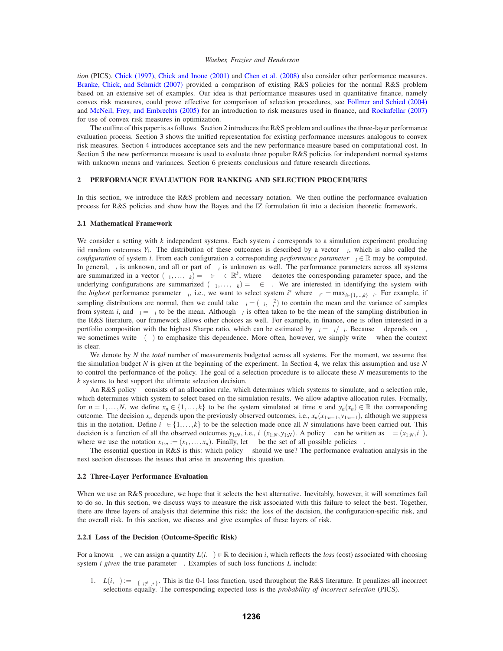*tion* (PICS). Chick (1997), Chick and Inoue (2001) and Chen et al. (2008) also consider other performance measures. Branke, Chick, and Schmidt (2007) provided a comparison of existing R&S policies for the normal R&S problem based on an extensive set of examples. Our idea is that performance measures used in quantitative finance, namely convex risk measures, could prove effective for comparison of selection procedures, see Föllmer and Schied (2004) and McNeil, Frey, and Embrechts (2005) for an introduction to risk measures used in finance, and Rockafellar (2007) for use of convex risk measures in optimization.

The outline of this paper is as follows. Section 2 introduces the R&S problem and outlines the three-layer performance evaluation process. Section 3 shows the unified representation for existing performance measures analogous to convex risk measures. Section 4 introduces acceptance sets and the new performance measure based on computational cost. In Section 5 the new performance measure is used to evaluate three popular R&S policies for independent normal systems with unknown means and variances. Section 6 presents conclusions and future research directions.

## **2 PERFORMANCE EVALUATION FOR RANKING AND SELECTION PROCEDURES**

In this section, we introduce the R&S problem and necessary notation. We then outline the performance evaluation process for R&S policies and show how the Bayes and the IZ formulation fit into a decision theoretic framework.

### **2.1 Mathematical Framework**

We consider a setting with *k* independent systems. Each system *i* corresponds to a simulation experiment producing iid random outcomes  $Y_i$ . The distribution of these outcomes is described by a vector  $\psi_i$ , which is also called the *configuration* of system *i*. From each configuration a corresponding *performance parameter*  $\theta_i \in \mathbb{R}$  may be computed. In general,  $\theta_i$  is unknown, and all or part of  $\psi_i$  is unknown as well. The performance parameters across all systems are summarized in a vector  $(\theta_1,\ldots,\theta_k) = \theta \in \Theta \subset \mathbb{R}^k$ , where  $\Theta$  denotes the corresponding parameter space, and the underlying configurations are summarized  $(\psi_1,\ldots,\psi_k) = \psi \in \Psi$ . We are interested in identifying the system with the *highest* performance parameter  $\theta_i$ , i.e., we want to select system  $i^*$  where  $\theta_{i^*} = \max_{i \in \{1,...,k\}} \theta_i$ . For example, if sampling distributions are normal, then we could take  $\psi_i = (\mu_i, \sigma_i^2)$  to contain the mean and the variance of samples from system *i*, and  $\theta_i = \mu_i$  to be the mean. Although  $\theta_i$  is often taken to be the mean of the sampling distribution in the R&S literature, our framework allows other choices as well. For example, in finance, one is often interested in a portfolio composition with the highest Sharpe ratio, which can be estimated by  $θ<sub>i</sub> = μ<sub>i</sub>/σ<sub>i</sub>$ . Because  $θ$  depends on  $ψ$ , we sometimes write  $\theta(\psi)$  to emphasize this dependence. More often, however, we simply write  $\theta$  when the context is clear.

We denote by *N* the *total* number of measurements budgeted across all systems. For the moment, we assume that the simulation budget *N* is given at the beginning of the experiment. In Section 4, we relax this assumption and use *N* to control the performance of the policy. The goal of a selection procedure is to allocate these *N* measurements to the *k* systems to best support the ultimate selection decision.

An R&S policy  $\pi$  consists of an allocation rule, which determines which systems to simulate, and a selection rule, which determines which system to select based on the simulation results. We allow adaptive allocation rules. Formally, for  $n = 1, \ldots, N$ , we define  $x_n \in \{1, \ldots, k\}$  to be the system simulated at time *n* and  $y_n(x_n) \in \mathbb{R}$  the corresponding outcome. The decision  $x_n$  depends upon the previously observed outcomes, i.e.,  $x_n(x_{1:n-1}, y_{1:n-1})$ , although we suppress this in the notation. Define  $i_{\pi} \in \{1, \ldots, k\}$  to be the selection made once all *N* simulations have been carried out. This decision is a function of all the observed outcomes  $y_{1:N}$ , i.e.,  $i_\pi(x_{1:N}, y_{1:N})$ . A policy  $\pi$  can be written as  $\pi = (x_{1:N}, i_\pi)$ , where we use the notation  $x_{1:n} := (x_1, \ldots, x_n)$ . Finally, let  $\Pi$  be the set of all possible policies  $\pi$ .

The essential question in R&S is this: which policy  $\pi$  should we use? The performance evaluation analysis in the next section discusses the issues that arise in answering this question.

### **2.2 Three-Layer Performance Evaluation**

When we use an R&S procedure, we hope that it selects the best alternative. Inevitably, however, it will sometimes fail to do so. In this section, we discuss ways to measure the risk associated with this failure to select the best. Together, there are three layers of analysis that determine this risk: the loss of the decision, the configuration-specific risk, and the overall risk. In this section, we discuss and give examples of these layers of risk.

### **2.2.1 Loss of the Decision (Outcome-Specific Risk)**

For a known  $\theta$ , we can assign a quantity  $L(i, \theta) \in \mathbb{R}$  to decision *i*, which reflects the *loss* (cost) associated with choosing system *i given* the true parameter θ. Examples of such loss functions *L* include:

1.  $L(i, \theta) := \{ \theta_i \neq \theta_{i^*} \}$ . This is the 0-1 loss function, used throughout the R&S literature. It penalizes all incorrect selections equally. The corresponding expected loss is the *probability of incorrect selection* (PICS).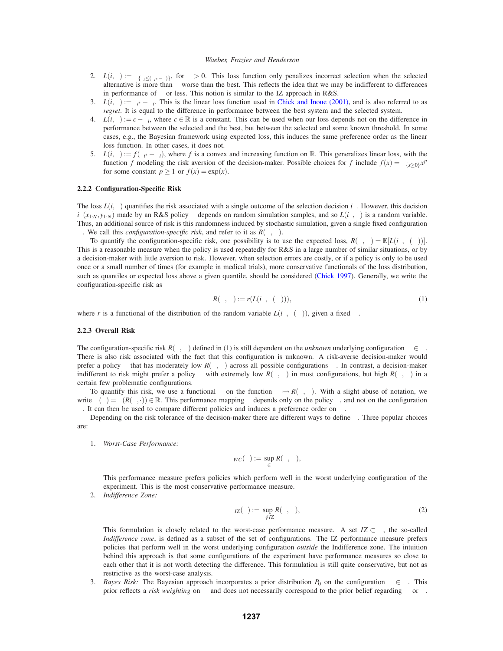- 2.  $L(i, \theta) := \{ \theta_i \leq (\theta_{i^*} \delta) \}$ , for  $\delta > 0$ . This loss function only penalizes incorrect selection when the selected alternative is more than  $\delta$  worse than the best. This reflects the idea that we may be indifferent to differences in performance of  $\delta$  or less. This notion is similar to the IZ approach in R&S.
- 3.  $L(i, \theta) := \theta_{i^*} \theta_i$ . This is the linear loss function used in Chick and Inoue (2001), and is also referred to as *regret*. It is equal to the difference in performance between the best system and the selected system.
- 4.  $L(i, \theta) := c \theta_i$ , where  $c \in \mathbb{R}$  is a constant. This can be used when our loss depends not on the difference in performance between the selected and the best, but between the selected and some known threshold. In some cases, e.g., the Bayesian framework using expected loss, this induces the same preference order as the linear loss function. In other cases, it does not.
- 5.  $L(i, \theta) := f(\theta_{i^*} \theta_i)$ , where f is a convex and increasing function on R. This generalizes linear loss, with the function *f* modeling the risk aversion of the decision-maker. Possible choices for *f* include  $f(x) = \{x>0\}x^p$ for some constant  $p \ge 1$  or  $f(x) = \exp(x)$ .

# **2.2.2 Configuration-Specific Risk**

The loss  $L(i, \theta)$  quantifies the risk associated with a single outcome of the selection decision  $i<sub>\pi</sub>$ . However, this decision  $i_{\pi}(x_{1:N}, y_{1:N})$  made by an R&S policy  $\pi$  depends on random simulation samples, and so  $L(i_{\pi}, \theta)$  is a random variable. Thus, an additional source of risk is this randomness induced by stochastic simulation, given a single fixed configuration  $\psi$ . We call this *configuration-specific risk*, and refer to it as  $R(\pi, \psi)$ .

To quantify the configuration-specific risk, one possibility is to use the expected loss,  $R(\pi, \psi) = \mathbb{E}[L(i_\pi, \theta(\psi))].$ This is a reasonable measure when the policy is used repeatedly for R&S in a large number of similar situations, or by a decision-maker with little aversion to risk. However, when selection errors are costly, or if a policy is only to be used once or a small number of times (for example in medical trials), more conservative functionals of the loss distribution, such as quantiles or expected loss above a given quantile, should be considered (Chick 1997). Generally, we write the configuration-specific risk as

$$
R(\pi, \psi) := r(L(i_{\pi}, \theta(\psi))), \qquad (1)
$$

where *r* is a functional of the distribution of the random variable  $L(i_\pi, \theta(\psi))$ , given a fixed  $\psi$ .

# **2.2.3 Overall Risk**

The configuration-specific risk  $R(\pi, \psi)$  defined in (1) is still dependent on the *unknown* underlying configuration  $\psi \in \Psi$ . There is also risk associated with the fact that this configuration is unknown. A risk-averse decision-maker would prefer a policy  $\pi$  that has moderately low  $R(\pi,\psi)$  across all possible configurations  $\psi$ . In contrast, a decision-maker indifferent to risk might prefer a policy  $\pi$  with extremely low  $R(\pi,\psi)$  in most configurations, but high  $R(\pi,\psi)$  in a certain few problematic configurations.

To quantify this risk, we use a functional  $\rho$  on the function  $\psi \mapsto R(\pi, \psi)$ . With a slight abuse of notation, we write  $\rho(\pi) = \rho(R(\pi, \cdot)) \in \mathbb{R}$ . This performance mapping  $\rho$  depends only on the policy  $\pi$ , and not on the configuration ψ. It can then be used to compare different policies and induces a preference order on Π.

Depending on the risk tolerance of the decision-maker there are different ways to define  $\rho$ . Three popular choices are:

1. *Worst-Case Performance:*

$$
\rho_{WC}(\pi) := \sup_{\psi \in \Psi} R(\pi, \psi),
$$

This performance measure prefers policies which perform well in the worst underlying configuration of the experiment. This is the most conservative performance measure.

2. *Indifference Zone:*

$$
\rho_{IZ}(\pi) := \sup_{\psi \notin IZ} R(\pi, \psi),\tag{2}
$$

This formulation is closely related to the worst-case performance measure. A set  $IZ \subset \Psi$ , the so-called *Indifference zone*, is defined as a subset of the set of configurations. The IZ performance measure prefers policies that perform well in the worst underlying configuration *outside* the Indifference zone. The intuition behind this approach is that some configurations of the experiment have performance measures so close to each other that it is not worth detecting the difference. This formulation is still quite conservative, but not as restrictive as the worst-case analysis.

3. *Bayes Risk:* The Bayesian approach incorporates a prior distribution  $P_0$  on the configuration  $\psi \in \Psi$ . This prior reflects a *risk weighting* on ψ and does not necessarily correspond to the prior belief regarding ψ or <sup>θ</sup>.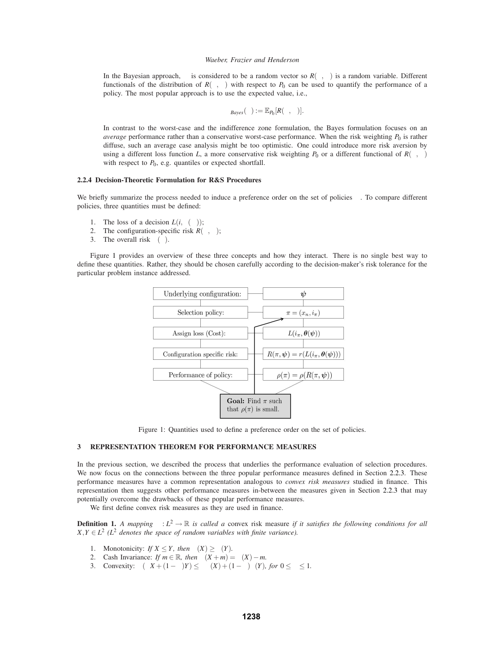In the Bayesian approach,  $\psi$  is considered to be a random vector so  $R(\pi, \psi)$  is a random variable. Different functionals of the distribution of  $R(\pi,\psi)$  with respect to  $P_0$  can be used to quantify the performance of a policy. The most popular approach is to use the expected value, i.e.,

$$
\rho_{Bayes}(\pi) := \mathbb{E}_{P_0}[R(\pi, \psi)].
$$

In contrast to the worst-case and the indifference zone formulation, the Bayes formulation focuses on an *average* performance rather than a conservative worst-case performance. When the risk weighting  $P_0$  is rather diffuse, such an average case analysis might be too optimistic. One could introduce more risk aversion by using a different loss function *L*, a more conservative risk weighting  $P_0$  or a different functional of  $R(\pi,\psi)$ with respect to  $P_0$ , e.g. quantiles or expected shortfall.

# **2.2.4 Decision-Theoretic Formulation for R&S Procedures**

We briefly summarize the process needed to induce a preference order on the set of policies Π. To compare different policies, three quantities must be defined:

- 1. The loss of a decision  $L(i, \theta(\psi))$ ;
- 2. The configuration-specific risk  $R(\pi, \psi)$ ;
- 3. The overall risk  $\rho(\pi)$ .

Figure 1 provides an overview of these three concepts and how they interact. There is no single best way to define these quantities. Rather, they should be chosen carefully according to the decision-maker's risk tolerance for the particular problem instance addressed.



Figure 1: Quantities used to define a preference order on the set of policies.

# **3 REPRESENTATION THEOREM FOR PERFORMANCE MEASURES**

In the previous section, we described the process that underlies the performance evaluation of selection procedures. We now focus on the connections between the three popular performance measures defined in Section 2.2.3. These performance measures have a common representation analogous to *convex risk measures* studied in finance. This representation then suggests other performance measures in-between the measures given in Section 2.2.3 that may potentially overcome the drawbacks of these popular performance measures.

We first define convex risk measures as they are used in finance.

**Definition 1.** *A mapping*  $\rho: L^2 \to \mathbb{R}$  *is called a* convex risk measure *if it satisfies the following conditions for all*  $X, Y \in L^2$  ( $L^2$  *denotes the space of random variables with finite variance*).

- 1. Monotonicity: *If*  $X \leq Y$ *, then*  $\rho(X) \geq \rho(Y)$ *.*
- 2. Cash Invariance: *If*  $m \in \mathbb{R}$ , then  $\rho(X + m) = \rho(X) m$ .
- 3. Convexity:  $\rho(\lambda X + (1 \lambda)Y) \leq \lambda \rho(X) + (1 \lambda) \rho(Y)$ *, for*  $0 \leq \lambda \leq 1$ *.*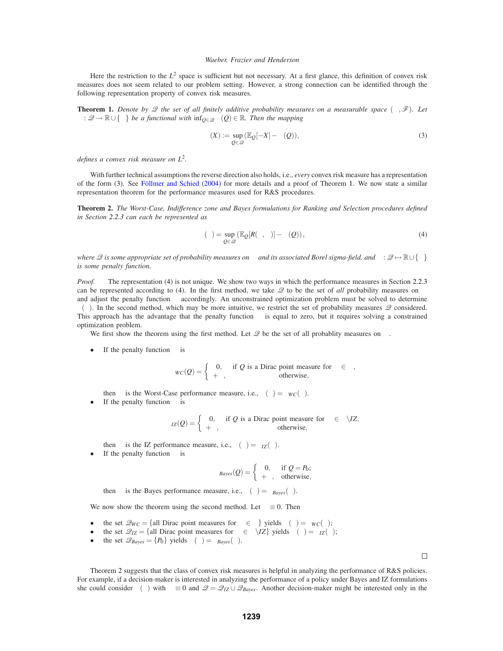Here the restriction to the  $L^2$  space is sufficient but not necessary. At a first glance, this definition of convex risk measures does not seem related to our problem setting. However, a strong connection can be identified through the following representation property of convex risk measures.

**Theorem 1.** *Denote by*  $\mathscr Q$  *the set of all finitely additive probability measures on a measurable space*  $(\Omega, \mathscr F)$ *. Let*  $\alpha : \mathscr{Q} \to \mathbb{R} \cup \{\infty\}$  *be a functional with*  $\inf_{Q \in \mathscr{Q}} \alpha(Q) \in \mathbb{R}$ *. Then the mapping* 

$$
\rho(X) := \sup_{Q \in \mathcal{Q}} (\mathbb{E}_Q[-X] - \alpha(Q)),\tag{3}
$$

*defines a convex risk measure on L*2*.*

With further technical assumptions the reverse direction also holds, i.e., *every* convex risk measure has a representation of the form (3). See Föllmer and Schied (2004) for more details and a proof of Theorem 1. We now state a similar representation theorem for the performance measures used for R&S procedures.

**Theorem 2.** *The Worst-Case, Indifference zone and Bayes formulations for Ranking and Selection procedures defined in Section 2.2.3 can each be represented as*

$$
\rho(\pi) = \sup_{Q \in \mathcal{Q}} \left( \mathbb{E}_{Q} [R(\pi, \psi)] - \alpha(Q) \right),\tag{4}
$$

*where*  $\mathscr Q$  *is some appropriate set of probability measures on* Ψ *and its associated Borel sigma-field, and*  $\alpha : \mathscr Q \mapsto \mathbb R \cup \{ \infty \}$ *is some penalty function.*

*Proof.* The representation (4) is not unique. We show two ways in which the performance measures in Section 2.2.3 can be represented according to (4). In the first method, we take Q to be the set of *all* probability measures on Ψ and adjust the penalty function  $\alpha$  accordingly. An unconstrained optimization problem must be solved to determine  $\rho(\pi)$ . In the second method, which may be more intuitive, we restrict the set of probability measures  $\mathscr Q$  considered. This approach has the advantage that the penalty function  $\alpha$  is equal to zero, but it requires solving a constrained optimization problem.

We first show the theorem using the first method. Let  $\mathcal Q$  be the set of all probablity measures on Ψ.

If the penalty function  $\alpha$  is

$$
\alpha_{WC}(Q) = \left\{ \begin{array}{ll} 0, & \text{if } Q \text{ is a Dirac point measure for } \psi \in \Psi, \\ +\infty, & \text{otherwise,} \end{array} \right.
$$

then  $\rho$  is the Worst-Case performance measure, i.e.,  $\rho(\pi) = \rho_{WC}(\pi)$ .

If the penalty function  $\alpha$  is

$$
\alpha_{IZ}(Q) = \begin{cases} 0, & \text{if } Q \text{ is a Dirac point measure for } \psi \in \Psi \backslash IZ, \\ +\infty, & \text{otherwise,} \end{cases}
$$

then  $\rho$  is the IZ performance measure, i.e.,  $\rho(\pi) = \rho_{1Z}(\pi)$ .

If the penalty function  $\alpha$  is

$$
\alpha_{Bayes}(Q) = \begin{cases} 0, & \text{if } Q = P_0; \\ +\infty, & \text{otherwise,} \end{cases}
$$

then  $\rho$  is the Bayes performance measure, i.e.,  $\rho(\pi) = \rho_{Bayes}(\pi)$ .

We now show the theorem using the second method. Let  $\alpha \equiv 0$ . Then

- the set  $\mathscr{Q}_{WC} = \{$ all Dirac point measures for  $\psi \in \Psi\}$  yields  $\rho(\pi) = \rho_{WC}(\pi)$ ;
- the set  $\mathcal{Q}_{IZ} = \{\text{all Dirac point measures for } \psi \in \Psi \setminus IZ\} \text{ yields } \rho(\pi) = \rho_{IZ}(\pi);$
- the set  $\mathscr{Q}_{Bayes} = \{P_0\}$  yields  $\rho(\pi) = \rho_{Bayes}(\pi)$ .

 $\Box$ 

Theorem 2 suggests that the class of convex risk measures is helpful in analyzing the performance of R&S policies. For example, if a decision-maker is interested in analyzing the performance of a policy under Bayes and IZ formulations she could consider  $\rho(\pi)$  with  $\alpha \equiv 0$  and  $\mathcal{Q} = \mathcal{Q}_{IZ} \cup \mathcal{Q}_{Bayes}$ . Another decision-maker might be interested only in the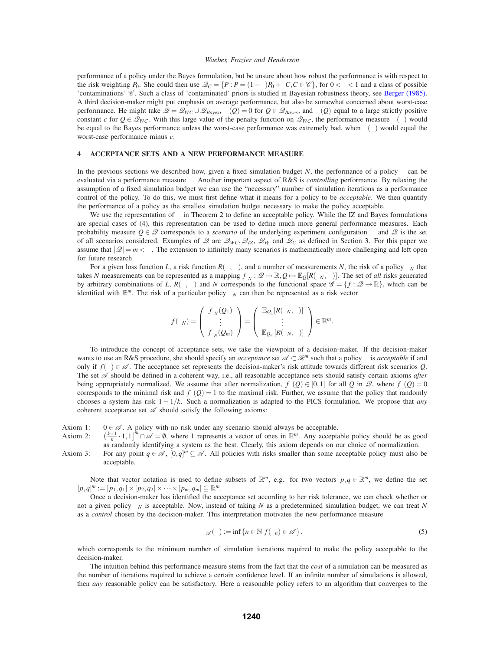performance of a policy under the Bayes formulation, but be unsure about how robust the performance is with respect to the risk weighting  $P_0$ . She could then use  $\mathcal{Q}_C = \{P : P = (1 - \varepsilon)P_0 + \varepsilon C, C \in \mathcal{C}\}\$ , for  $0 < \varepsilon < 1$  and a class of possible 'contaminations'  $\mathscr C$ . Such a class of 'contaminated' priors is studied in Bayesian robustness theory, see Berger (1985). A third decision-maker might put emphasis on average performance, but also be somewhat concerned about worst-case performance. He might take  $\mathscr{Q} = \mathscr{Q}_{WC} \cup \mathscr{Q}_{Bayes}$ ,  $\alpha(Q) = 0$  for  $Q \in \mathscr{Q}_{Bayes}$ , and  $\alpha(Q)$  equal to a large strictly positive constant *c* for  $Q \in \mathcal{Q}_{WC}$ . With this large value of the penalty function on  $\mathcal{Q}_{WC}$ , the performance measure  $\rho(\pi)$  would be equal to the Bayes performance unless the worst-case performance was extremely bad, when  $\rho(\pi)$  would equal the worst-case performance minus *c*.

# **4 ACCEPTANCE SETS AND A NEW PERFORMANCE MEASURE**

In the previous sections we described how, given a fixed simulation budget N, the performance of a policy  $\pi$  can be evaluated via a performance measure ρ. Another important aspect of R&S is *controlling* performance. By relaxing the assumption of a fixed simulation budget we can use the "necessary" number of simulation iterations as a performance control of the policy. To do this, we must first define what it means for a policy to be *acceptable*. We then quantify the performance of a policy as the smallest simulation budget necessary to make the policy acceptable.

We use the representation of  $\rho$  in Theorem 2 to define an acceptable policy. While the IZ and Bayes formulations are special cases of (4), this representation can be used to define much more general performance measures. Each probability measure  $Q \in \mathscr{Q}$  corresponds to a *scenario* of the underlying experiment configuration Ψ and  $\mathscr{Q}$  is the set of all scenarios considered. Examples of  $\mathscr Q$  are  $\mathscr Q_{W\mathcal C},\mathscr Q_{I\mathcal Z},\mathscr Q_{P_0}$  and  $\mathscr Q_{\mathcal C}$  as defined in Section 3. For this paper we assume that  $|\mathcal{Q}| = m < \infty$ . The extension to infinitely many scenarios is mathematically more challenging and left open for future research.

For a given loss function *L*, a risk function  $R(\pi, \psi)$ , and a number of measurements *N*, the risk of a policy  $\pi_N$  that takes *N* measurements can be represented as a mapping  $f_{\pi_N}: \mathcal{Q} \to \mathbb{R}, Q \mapsto \mathbb{E}_Q[R(\pi_N, \psi)]$ . The set of *all* risks generated by arbitrary combinations of *L*,  $R(\pi, \psi)$  and *N* corresponds to the functional space  $\mathscr{G} = \{f : \mathscr{Q} \to \mathbb{R}\}$ , which can be identified with  $\mathbb{R}^m$ . The risk of a particular policy  $\pi_N$  can then be represented as a risk vector

$$
f(\pi_N) = \left(\begin{array}{c} f_{\pi_N}(Q_1) \\ \vdots \\ f_{\pi_N}(Q_m) \end{array}\right) = \left(\begin{array}{c} \mathbb{E}_{Q_1}[R(\pi_N,\theta)] \\ \vdots \\ \mathbb{E}_{Q_m}[R(\pi_N,\theta)] \end{array}\right) \in \mathbb{R}^m.
$$

To introduce the concept of acceptance sets, we take the viewpoint of a decision-maker. If the decision-maker wants to use an R&S procedure, she should specify an *acceptance* set  $\mathscr{A} \subset \mathscr{R}^m$  such that a policy  $\pi$  is *acceptable* if and only if  $f(\pi) \in \mathcal{A}$ . The acceptance set represents the decision-maker's risk attitude towards different risk scenarios *Q*. The set  $\mathscr A$  should be defined in a coherent way, i.e., all reasonable acceptance sets should satisfy certain axioms *after* being appropriately normalized. We assume that after normalization,  $f_{\pi}(Q) \in [0,1]$  for all *Q* in  $\mathscr{Q}$ , where  $f_{\pi}(Q) = 0$ corresponds to the minimal risk and  $f_\pi(Q) = 1$  to the maximal risk. Further, we assume that the policy that randomly chooses a system has risk 1 −1/*k*. Such a normalization is adapted to the PICS formulation. We propose that *any* coherent acceptance set  $\mathscr A$  should satisfy the following axioms:

Axiom 1:  $0 \in \mathcal{A}$ . A policy with no risk under any scenario should always be acceptable.

Axiom 2:  $\frac{1}{k}$  · 1, 1]<sup>*m*</sup> ∩  $\mathscr{A} = \emptyset$ , where 1 represents a vector of ones in R<sup>*m*</sup>. Any acceptable policy should be as good as randomly identifying a system as the best. Clearly, this axiom depends on our choice of normalization.

Axiom 3: For any point  $q \in \mathscr{A}$ ,  $[0, q]^m \subseteq \mathscr{A}$ . All policies with risks smaller than some acceptable policy must also be acceptable.

Note that vector notation is used to define subsets of  $\mathbb{R}^m$ , e.g. for two vectors  $p, q \in \mathbb{R}^m$ , we define the set  $[p,q]^m := [p_1,q_1] \times [p_2,q_2] \times \cdots \times [p_m,q_m] \subseteq \mathbb{R}^m$ .

Once a decision-maker has identified the acceptance set according to her risk tolerance, we can check whether or not a given policy  $\pi_N$  is acceptable. Now, instead of taking N as a predetermined simulation budget, we can treat N as a *control* chosen by the decision-maker. This interpretation motivates the new performance measure

$$
\rho_{\mathscr{A}}(\pi) := \inf \{ n \in \mathbb{N} | f(\pi_n) \in \mathscr{A} \},\tag{5}
$$

which corresponds to the minimum number of simulation iterations required to make the policy acceptable to the decision-maker.

The intuition behind this performance measure stems from the fact that the *cost* of a simulation can be measured as the number of iterations required to achieve a certain confidence level. If an infinite number of simulations is allowed, then *any* reasonable policy can be satisfactory. Here a reasonable policy refers to an algorithm that converges to the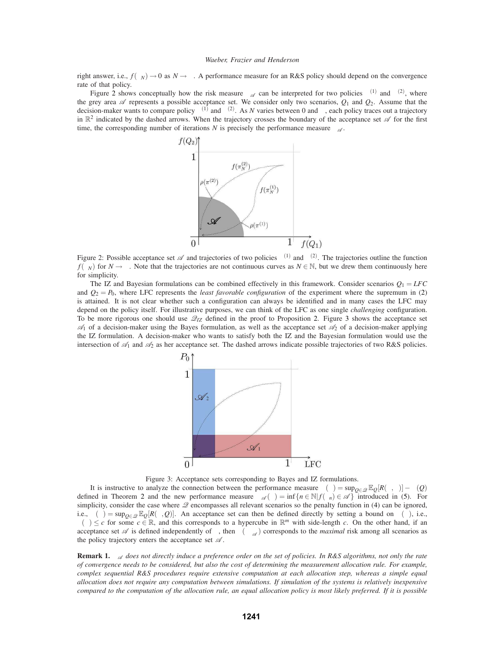right answer, i.e.,  $f(\pi_N) \to 0$  as  $N \to \infty$ . A performance measure for an R&S policy should depend on the convergence rate of that policy.

Figure 2 shows conceptually how the risk measure  $\rho_{\mathscr{A}}$  can be interpreted for two policies  $\pi^{(1)}$  and  $\pi^{(2)}$ , where the grey area  $\mathscr A$  represents a possible acceptance set. We consider only two scenarios,  $Q_1$  and  $Q_2$ . Assume that the decision-maker wants to compare policy  $\pi^{(1)}$  and  $\pi^{(2)}$ . As *N* varies between 0 and  $\infty$ , each policy traces out a trajectory in  $\mathbb{R}^2$  indicated by the dashed arrows. When the trajectory crosses the boundary of the acceptance set  $\mathscr A$  for the first time, the corresponding number of iterations *N* is precisely the performance measure  $\rho_{\mathscr{A}}$ .



Figure 2: Possible acceptance set  $\mathscr A$  and trajectories of two policies  $\pi^{(1)}$  and  $\pi^{(2)}$ . The trajectories outline the function  $f(\pi_N)$  for  $N \to \infty$ . Note that the trajectories are not continuous curves as  $N \in \mathbb{N}$ , but we drew them continuously here for simplicity.

The IZ and Bayesian formulations can be combined effectively in this framework. Consider scenarios  $Q_1 = LFC$ and  $Q_2 = P_0$ , where LFC represents the *least favorable configuration* of the experiment where the supremum in (2) is attained. It is not clear whether such a configuration can always be identified and in many cases the LFC may depend on the policy itself. For illustrative purposes, we can think of the LFC as one single *challenging* configuration. To be more rigorous one should use Q*IZ* defined in the proof to Proposition 2. Figure 3 shows the acceptance set  $\mathscr{A}_1$  of a decision-maker using the Bayes formulation, as well as the acceptance set  $\mathscr{A}_2$  of a decision-maker applying the IZ formulation. A decision-maker who wants to satisfy both the IZ and the Bayesian formulation would use the intersection of  $\mathcal{A}_1$  and  $\mathcal{A}_2$  as her acceptance set. The dashed arrows indicate possible trajectories of two R&S policies.





It is instructive to analyze the connection between the performance measure  $\rho(\pi) = \sup_{Q \in \mathcal{Q}} \mathbb{E}_Q[R(\pi,\theta)] - \alpha(Q)$ defined in Theorem 2 and the new performance measure  $\rho_{\mathscr{A}}(\pi) = \inf \{ n \in \mathbb{N} | f(\pi_n) \in \mathscr{A} \}$  introduced in (5). For simplicity, consider the case where  $\mathcal Q$  encompasses all relevant scenarios so the penalty function in (4) can be ignored, i.e.,  $\rho(\pi) = \sup_{Q \in \mathcal{Q}} \mathbb{E}_Q[R(\pi, Q)]$ . An acceptance set can then be defined directly by setting a bound on  $\rho(\pi)$ , i.e.,  $\rho(\pi) \leq c$  for some  $c \in \mathbb{R}$ , and this corresponds to a hypercube in  $\mathbb{R}^m$  with side-length *c*. On the other hand, if an acceptance set  $\mathscr A$  is defined independently of  $\rho$ , then  $\rho(\pi_{\rho\alpha\beta})$  corresponds to the *maximal* risk among all scenarios as the policy trajectory enters the acceptance set  $\mathscr A$ .

**Remark 1.**  $\rho_{\mathscr{A}}$  does not directly induce a preference order on the set of policies. In R&S algorithms, not only the rate *of convergence needs to be considered, but also the cost of determining the measurement allocation rule. For example, complex sequential R&S procedures require extensive computation at each allocation step, whereas a simple equal allocation does not require any computation between simulations. If simulation of the systems is relatively inexpensive compared to the computation of the allocation rule, an equal allocation policy is most likely preferred. If it is possible*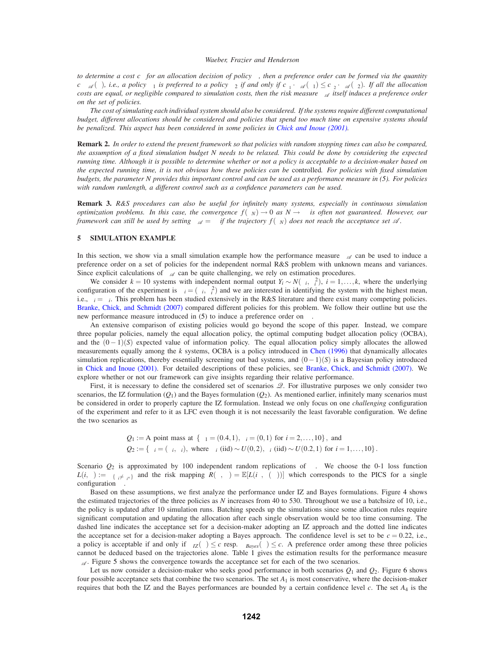*to determine a cost c*<sup>π</sup> *for an allocation decision of policy* <sup>π</sup>*, then a preference order can be formed via the quantity*  $c_{\pi} \rho_{\mathscr{A}}(\pi)$ *, i.e., a policy*  $\pi_1$  *is preferred to a policy*  $\pi_2$  *if and only if*  $c_{\pi_1} \cdot \rho_{\mathscr{A}}(\pi_1) \leq c_{\pi_2} \cdot \rho_{\mathscr{A}}(\pi_2)$ *. If all the allocation costs are equal, or negligible compared to simulation costs, then the risk measure*  $\rho_{\mathscr{A}}$  *itself induces a preference order on the set of policies.*

*The cost of simulating each individual system should also be considered. If the systems require different computational budget, different allocations should be considered and policies that spend too much time on expensive systems should be penalized. This aspect has been considered in some policies in Chick and Inoue (2001).*

**Remark 2.** *In order to extend the present framework so that policies with random stopping times can also be compared, the assumption of a fixed simulation budget N needs to be relaxed. This could be done by considering the expected running time. Although it is possible to determine whether or not a policy is acceptable to a decision-maker based on the expected running time, it is not obvious how these policies can be* controlled*. For policies with fixed simulation budgets, the parameter N provides this important control and can be used as a performance measure in (5). For policies with random runlength, a different control such as a confidence parameters can be used.*

**Remark 3.** *R&S procedures can also be useful for infinitely many systems, especially in continuous simulation optimization problems. In this case, the convergence*  $f(\pi_N) \to 0$  *as*  $N \to \infty$  *is often not guaranteed. However, our framework can still be used by setting*  $\rho_{\mathscr{A}} = \infty$  *if the trajectory*  $f(\pi_N)$  *does not reach the acceptance set*  $\mathscr{A}$ *.* 

## **5 SIMULATION EXAMPLE**

In this section, we show via a small simulation example how the performance measure  $\rho_{\mathscr{A}}$  can be used to induce a preference order on a set of policies for the independent normal R&S problem with unknown means and variances. Since explicit calculations of  $\rho_{\mathscr{A}}$  can be quite challenging, we rely on estimation procedures.

We consider  $k = 10$  systems with independent normal output  $Y_i \sim N(\mu_i, \sigma_i^2)$ ,  $i = 1, ..., k$ , where the underlying configuration of the experiment is  $\psi_i = (\mu_i, \sigma_i^2)$  and we are interested in identifying the system with the highest mean, i.e.,  $\theta_i = \mu_i$ . This problem has been studied extensively in the R&S literature and there exist many competing policies. Branke, Chick, and Schmidt (2007) compared different policies for this problem. We follow their outline but use the new performance measure introduced in (5) to induce a preference order on Π.

An extensive comparison of existing policies would go beyond the scope of this paper. Instead, we compare three popular policies, namely the equal allocation policy, the optimal computing budget allocation policy (OCBA), and the  $(0-1)(S)$  expected value of information policy. The equal allocation policy simply allocates the allowed measurements equally among the *k* systems, OCBA is a policy introduced in Chen (1996) that dynamically allocates simulation replications, thereby essentially screening out bad systems, and  $(0-1)(S)$  is a Bayesian policy introduced in Chick and Inoue (2001). For detailed descriptions of these policies, see Branke, Chick, and Schmidt (2007). We explore whether or not our framework can give insights regarding their relative performance.

First, it is necessary to define the considered set of scenarios  $\mathscr Q$ . For illustrative purposes we only consider two scenarios, the IZ formulation  $(Q_1)$  and the Bayes formulation  $(Q_2)$ . As mentioned earlier, infinitely many scenarios must be considered in order to properly capture the IZ formulation. Instead we only focus on one *challenging* configuration of the experiment and refer to it as LFC even though it is not necessarily the least favorable configuration. We define the two scenarios as

$$
Q_1 := A
$$
 point mass at  $\{\psi_1 = (0.4, 1), \psi_i = (0, 1)$  for  $i = 2, ..., 10\}$ , and  
\n $Q_2 := \{\psi_i = (\mu_i, \sigma_i), \text{ where } \mu_i \text{ (iid)} \sim U(0, 2), \sigma_i \text{ (iid)} \sim U(0.2, 1) \text{ for } i = 1, ..., 10\}.$ 

Scenario  $Q_2$  is approximated by 100 independent random replications of  $\psi$ . We choose the 0-1 loss function  $L(i, \theta) := \{ \theta_i \neq \theta_{i^*} \}$  and the risk mapping  $R(\pi, \psi) = \mathbb{E}[L(i_\pi, \theta(\psi))]$  which corresponds to the PICS for a single configuration  $\psi$ .

Based on these assumptions, we first analyze the performance under IZ and Bayes formulations. Figure 4 shows the estimated trajectories of the three policies as *N* increases from 40 to 530. Throughout we use a batchsize of 10, i.e., the policy is updated after 10 simulation runs. Batching speeds up the simulations since some allocation rules require significant computation and updating the allocation after each single observation would be too time consuming. The dashed line indicates the acceptance set for a decision-maker adopting an IZ approach and the dotted line indicates the acceptance set for a decision-maker adopting a Bayes approach. The confidence level is set to be  $c = 0.22$ , i.e., a policy is acceptable if and only if  $\rho_{IZ}(\pi) \leq c$  resp.  $\rho_{Bayes}(\pi) \leq c$ . A preference order among these three policies cannot be deduced based on the trajectories alone. Table 1 gives the estimation results for the performance measure  $\rho_{\mathscr{A}}$ . Figure 5 shows the convergence towards the acceptance set for each of the two scenarios.

Let us now consider a decision-maker who seeks good performance in both scenarios *Q*<sup>1</sup> and *Q*2. Figure 6 shows four possible acceptance sets that combine the two scenarios. The set  $A_1$  is most conservative, where the decision-maker requires that both the IZ and the Bayes performances are bounded by a certain confidence level *c*. The set *A*<sup>4</sup> is the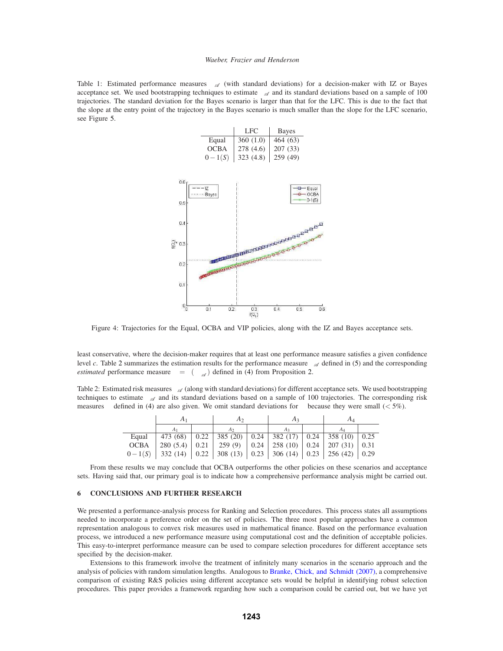Table 1: Estimated performance measures  $\rho_{\mathscr{A}}$  (with standard deviations) for a decision-maker with IZ or Bayes acceptance set. We used bootstrapping techniques to estimate  $\rho_{\mathscr{A}}$  and its standard deviations based on a sample of 100 trajectories. The standard deviation for the Bayes scenario is larger than that for the LFC. This is due to the fact that the slope at the entry point of the trajectory in the Bayes scenario is much smaller than the slope for the LFC scenario, see Figure 5.



Figure 4: Trajectories for the Equal, OCBA and VIP policies, along with the IZ and Bayes acceptance sets.

least conservative, where the decision-maker requires that at least one performance measure satisfies a given confidence level *c*. Table 2 summarizes the estimation results for the performance measure  $\rho_{\mathscr{A}}$  defined in (5) and the corresponding *estimated* performance measure  $\rho = \rho(\pi_{\rho_{\mathscr{A}}})$  defined in (4) from Proposition 2.

Table 2: Estimated risk measures  $\rho_{\mathscr{A}}$  (along with standard deviations) for different acceptance sets. We used bootstrapping techniques to estimate  $\rho_{\mathscr{A}}$  and its standard deviations based on a sample of 100 trajectories. The corresponding risk measures  $\rho$  defined in (4) are also given. We omit standard deviations for  $\rho$  because they were small (< 5%).

|       | A1                                                                               |  | A <sub>2</sub> |        | $A_3$        |        | A4           |  |
|-------|----------------------------------------------------------------------------------|--|----------------|--------|--------------|--------|--------------|--|
|       | $\rho_{A_1}$                                                                     |  | $\rho_{A_2}$   | $\rho$ | $\rho_{A_3}$ | $\rho$ | $\rho_{A_4}$ |  |
| Equal |                                                                                  |  |                |        |              |        |              |  |
| OCBA  | 280 (5.4)   0.21   259 (9)   0.24   258 (10)   0.24   207 (31)   0.31            |  |                |        |              |        |              |  |
|       | $0-1(S)$   332 (14)   0.22   308 (13)   0.23   306 (14)   0.23   256 (42)   0.29 |  |                |        |              |        |              |  |

From these results we may conclude that OCBA outperforms the other policies on these scenarios and acceptance sets. Having said that, our primary goal is to indicate how a comprehensive performance analysis might be carried out.

# **6 CONCLUSIONS AND FURTHER RESEARCH**

We presented a performance-analysis process for Ranking and Selection procedures. This process states all assumptions needed to incorporate a preference order on the set of policies. The three most popular approaches have a common representation analogous to convex risk measures used in mathematical finance. Based on the performance evaluation process, we introduced a new performance measure using computational cost and the definition of acceptable policies. This easy-to-interpret performance measure can be used to compare selection procedures for different acceptance sets specified by the decision-maker.

Extensions to this framework involve the treatment of infinitely many scenarios in the scenario approach and the analysis of policies with random simulation lengths. Analogous to Branke, Chick, and Schmidt (2007), a comprehensive comparison of existing R&S policies using different acceptance sets would be helpful in identifying robust selection procedures. This paper provides a framework regarding how such a comparison could be carried out, but we have yet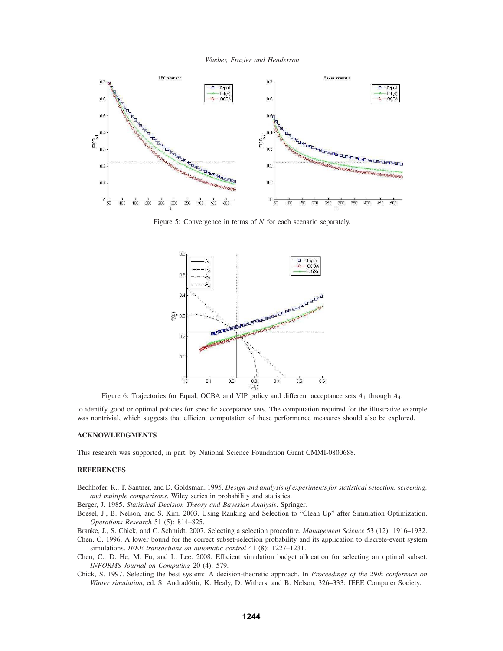

Figure 5: Convergence in terms of *N* for each scenario separately.



Figure 6: Trajectories for Equal, OCBA and VIP policy and different acceptance sets *A*<sup>1</sup> through *A*4.

to identify good or optimal policies for specific acceptance sets. The computation required for the illustrative example was nontrivial, which suggests that efficient computation of these performance measures should also be explored.

## **ACKNOWLEDGMENTS**

This research was supported, in part, by National Science Foundation Grant CMMI-0800688.

# **REFERENCES**

- Bechhofer, R., T. Santner, and D. Goldsman. 1995. *Design and analysis of experiments for statistical selection, screening, and multiple comparisons*. Wiley series in probability and statistics.
- Berger, J. 1985. *Statistical Decision Theory and Bayesian Analysis*. Springer.
- Boesel, J., B. Nelson, and S. Kim. 2003. Using Ranking and Selection to "Clean Up" after Simulation Optimization. *Operations Research* 51 (5): 814–825.
- Branke, J., S. Chick, and C. Schmidt. 2007. Selecting a selection procedure. *Management Science* 53 (12): 1916–1932.
- Chen, C. 1996. A lower bound for the correct subset-selection probability and its application to discrete-event system simulations. *IEEE transactions on automatic control* 41 (8): 1227–1231.
- Chen, C., D. He, M. Fu, and L. Lee. 2008. Efficient simulation budget allocation for selecting an optimal subset. *INFORMS Journal on Computing* 20 (4): 579.
- Chick, S. 1997. Selecting the best system: A decision-theoretic approach. In *Proceedings of the 29th conference on Winter simulation*, ed. S. Andradóttir, K. Healy, D. Withers, and B. Nelson, 326-333: IEEE Computer Society.